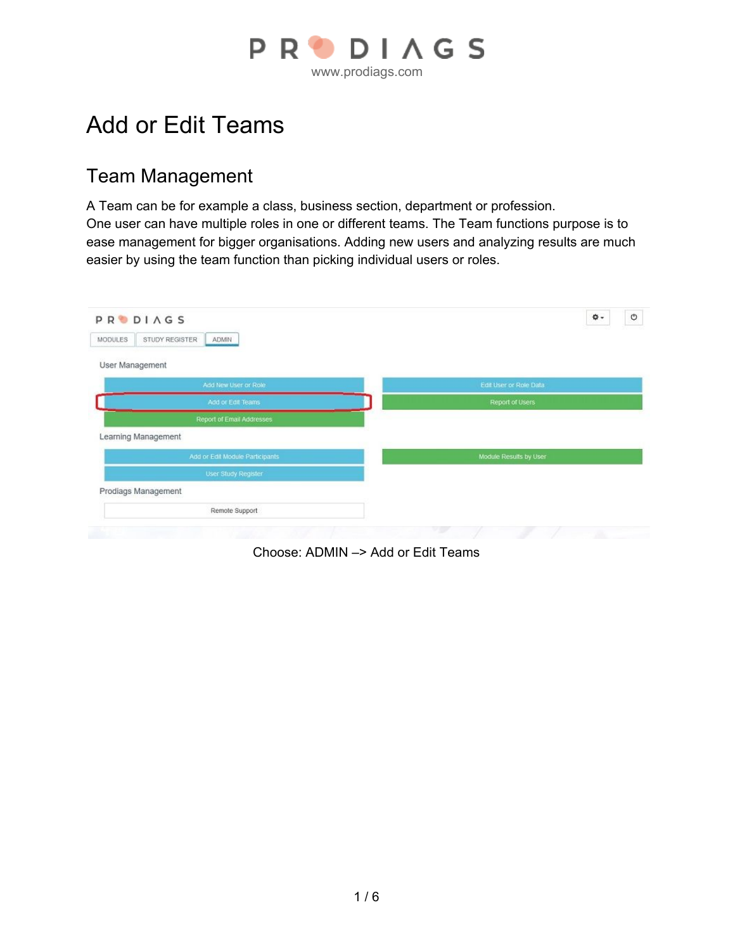

# Add or Edit Teams

#### Team Management

A Team can be for example a class, business section, department or profession. One user can have multiple roles in one or different teams. The Team functions purpose is to ease management for bigger organisations. Adding new users and analyzing results are much easier by using the team function than picking individual users or roles.

| <b>PRODIAGS</b>                    | O<br>۰\$               |
|------------------------------------|------------------------|
| STUDY REGISTER<br>MODULES<br>ADMIN |                        |
| User Management                    |                        |
| Add New User or Role               | Edit User or Role Data |
| Add or Edit Teams                  | Report of Users        |
| Report of Email Addresses          |                        |
| Learning Management                |                        |
| Add or Edit Module Participants    | Module Results by User |
| User Study Register                |                        |
| Prodiags Management                |                        |
| Remote Support                     |                        |

Choose: ADMIN –> Add or Edit Teams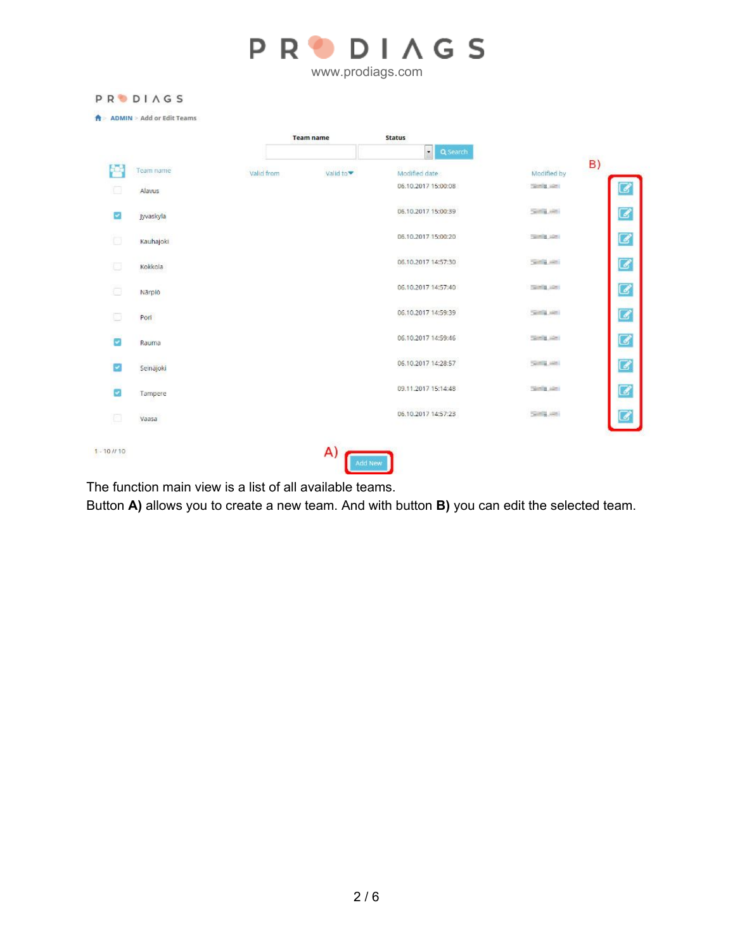|                         | <b>PRODIAGS</b>                     |            |                  |                     |                     |                                       |
|-------------------------|-------------------------------------|------------|------------------|---------------------|---------------------|---------------------------------------|
|                         | <b>ADMIN &gt; Add or Edit Teams</b> |            | <b>Team name</b> | <b>Status</b>       |                     |                                       |
|                         |                                     |            |                  | $\cdot$<br>Q Search |                     |                                       |
|                         | Team name                           | Valid from | valid to▼        | Modified date       | B)<br>Modified by   |                                       |
| o                       | Alavus                              |            |                  | 06.10.2017 15:00:08 | manite size:        | 3                                     |
| ø                       | Jyvaskyla                           |            |                  | 06.10.2017 15:00:39 | <b>SOFTWARE</b>     | $\overline{\mathcal{C}}$              |
| a                       | Kauhajoki                           |            |                  | 06.10.2017.15:00:20 | <b>TANKING</b> AREA | $\overline{\mathcal{C}}$              |
|                         | Kokkola                             |            |                  | 06.10.2017 14:57:30 | Telling Julie       | $\overline{\boldsymbol{\mathcal{C}}}$ |
| ō                       | Närpiö                              |            |                  | 06.10.2017 14:57:40 | <b>TOURIS LOST</b>  | $\overline{\mathcal{C}}$              |
|                         | Port                                |            |                  | 06.10.2017 14:59:39 | THE R. P. LEWIS     | $\overline{a}$                        |
| z                       | Rauma                               |            |                  | 06.10.2017 14:59:46 | <b>CONTROLLIGES</b> | $\overline{\boldsymbol{G}}$           |
| ø                       | Seinäjoki                           |            |                  | 06.10.2017 14:28:57 | <b>SOFTEN AREA</b>  | $\overline{a}$                        |
| $\overline{\mathbf{v}}$ | Tampere                             |            |                  | 09.11.2017 15:14:48 | <b>Simila</b> Akes  | $\overline{\boldsymbol{G}}$           |
| €                       | Vaasa                               |            |                  | 06.10.2017 14:57:23 | Telefon Lead        |                                       |

The function main view is a list of all available teams.

Button **A)** allows you to create a new team. And with button **B)** you can edit the selected team.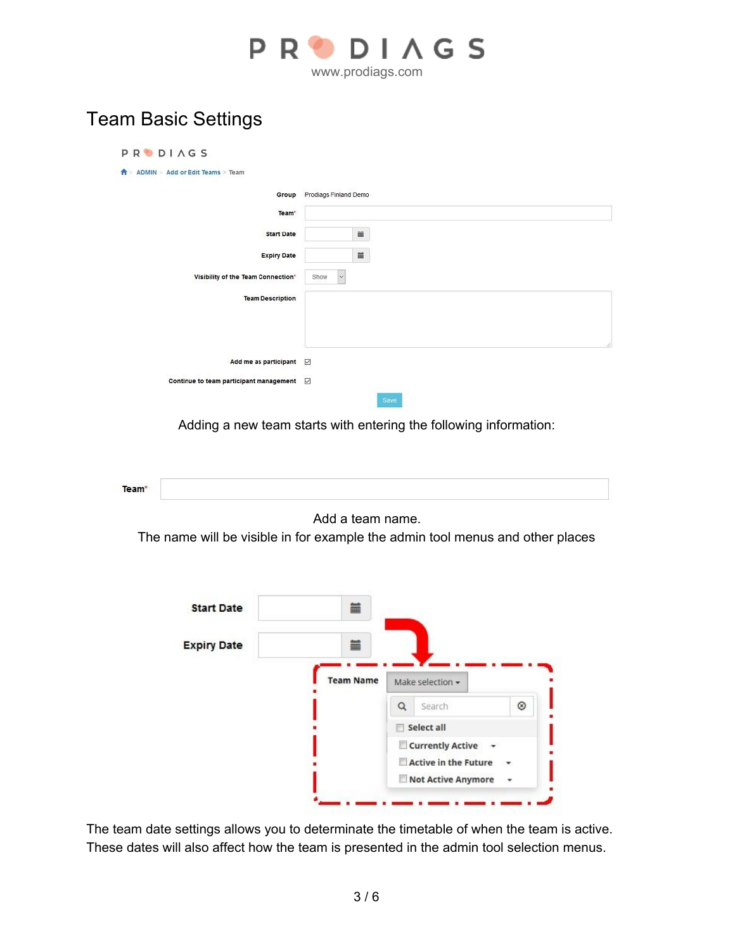

### Team Basic Settings

| <b>PRODIAGS</b>                                   |                             |
|---------------------------------------------------|-----------------------------|
| ADMIN > Add or Edit Teams > Team<br>n             |                             |
|                                                   | Group Prodiags Finland Demo |
| Team <sup>*</sup>                                 |                             |
| <b>Start Date</b>                                 | Ħ                           |
| <b>Expiry Date</b>                                | $\equiv$                    |
| Visibility of the Team Connection"                | $\checkmark$<br>Show        |
| <b>Team Description</b>                           |                             |
| Add me as participant                             | N                           |
| Continue to team participant management $\boxdot$ | Save                        |

Adding a new team starts with entering the following information:



Add a team name.

The name will be visible in for example the admin tool menus and other places

| <b>Start Date</b>  | iii              |                      |            |
|--------------------|------------------|----------------------|------------|
| <b>Expiry Date</b> | 葍                |                      |            |
|                    | <b>Team Name</b> | Make selection -     |            |
|                    |                  | Q<br>Search          | $^{\circ}$ |
|                    |                  | Select all           |            |
|                    |                  | Currently Active +   |            |
|                    |                  | Active in the Future |            |
|                    |                  | Not Active Anymore   |            |

The team date settings allows you to determinate the timetable of when the team is active. These dates will also affect how the team is presented in the admin tool selection menus.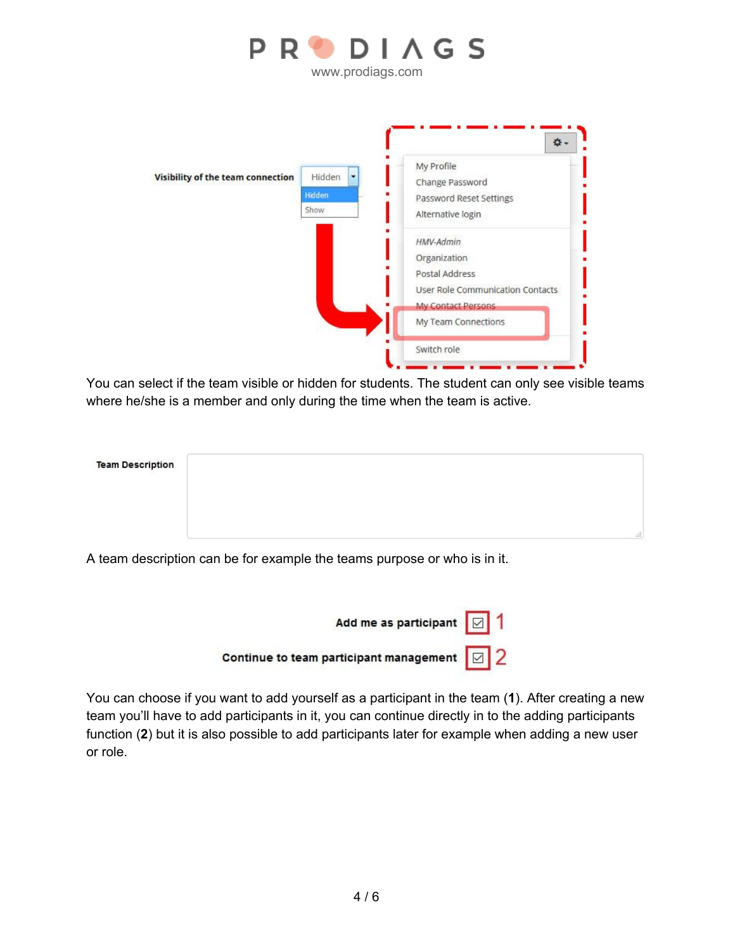

www.prodiags.com



You can select if the team visible or hidden for students. The student can only see visible teams where he/she is a member and only during the time when the team is active.

| <b>Team Description</b> |     |
|-------------------------|-----|
|                         |     |
|                         |     |
|                         | al. |

A team description can be for example the teams purpose or who is in it.



You can choose if you want to add yourself as a participant in the team (**1**). After creating a new team you'll have to add participants in it, you can continue directly in to the adding participants function (**2**) but it is also possible to add participants later for example when adding a new user or role.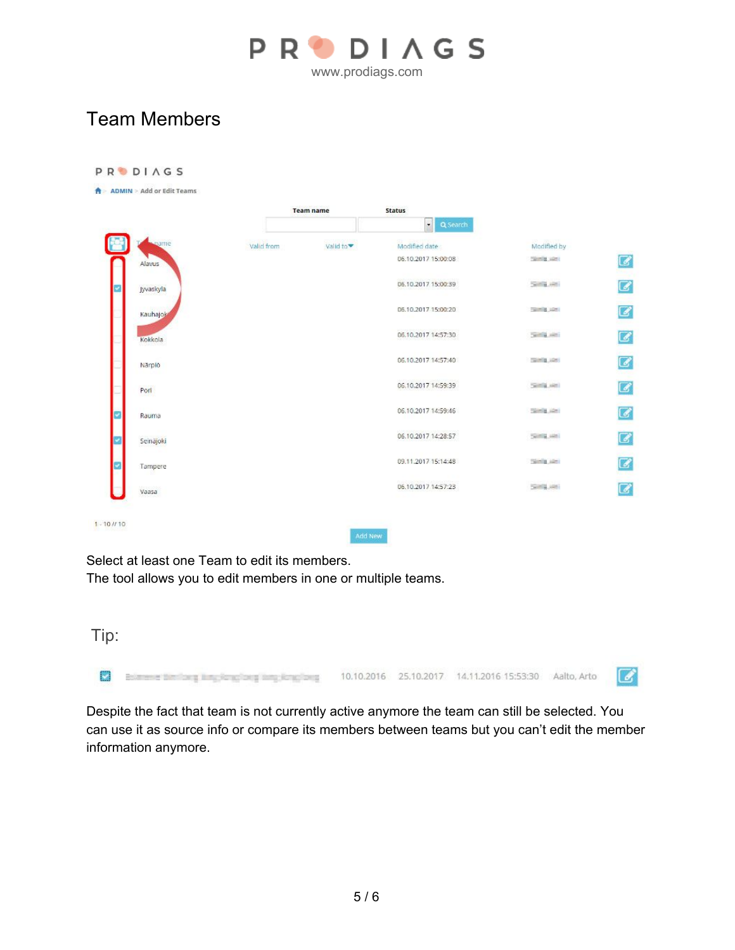

### Team Members

|                |            | <b>Team name</b> | <b>Status</b>       |                      |                            |
|----------------|------------|------------------|---------------------|----------------------|----------------------------|
|                |            |                  | Q Search            |                      |                            |
| <b>Sugarne</b> | Valid from | Valid to▼        | Modified date       | Modified by          | $\boldsymbol{\mathcal{G}}$ |
| Alayus         |            |                  | 06.10.2017 15:00:08 | <b>Taking size</b>   |                            |
| Jyvaskyla      |            |                  | 06.10.2017 15:00:39 | <b>Service</b> Addis |                            |
| Kauhajok       |            |                  | 06.10.2017 15:00:20 | <b>Talmid List:</b>  |                            |
| Kokkola.       |            |                  | 06.10.2017 14:57:30 | Sent guesti          |                            |
| Närpiö         |            |                  | 06.10.2017 14:57:40 | <b>COUNTER LIGHT</b> |                            |
| Port           |            |                  | 06.10.2017 14:59:39 | <b>Seminar Aker</b>  |                            |
| Rauma          |            |                  | 06.10.2017 14:59:46 | <b>COUNTER LIGHT</b> |                            |
| Seinäjoki      |            |                  | 06.10.2017 14:28:57 | Sentra Mini          |                            |
| Tampere        |            |                  | 09.11.2017 15:14:48 | <b>Simila</b> Alan   |                            |
| Vaasa          |            |                  | 06.10.2017 14:57:23 | Sella John           |                            |

Select at least one Team to edit its members. The tool allows you to edit members in one or multiple teams.

| Tip: |                                            |  |  |  |
|------|--------------------------------------------|--|--|--|
|      | 25.10.2017 14.11.2016 15:53:30 Aalto, Arto |  |  |  |

Despite the fact that team is not currently active anymore the team can still be selected. You can use it as source info or compare its members between teams but you can't edit the member information anymore.